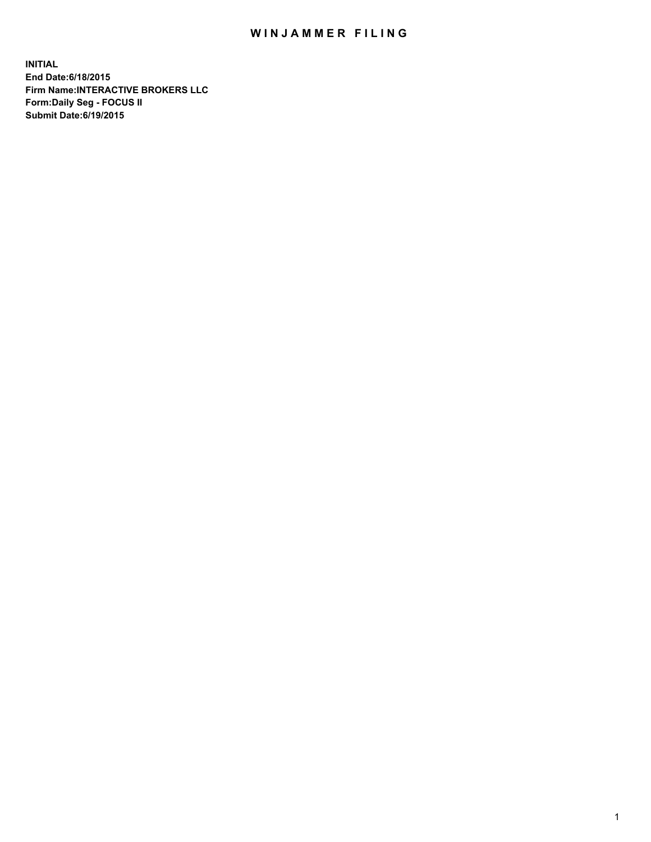## WIN JAMMER FILING

**INITIAL End Date:6/18/2015 Firm Name:INTERACTIVE BROKERS LLC Form:Daily Seg - FOCUS II Submit Date:6/19/2015**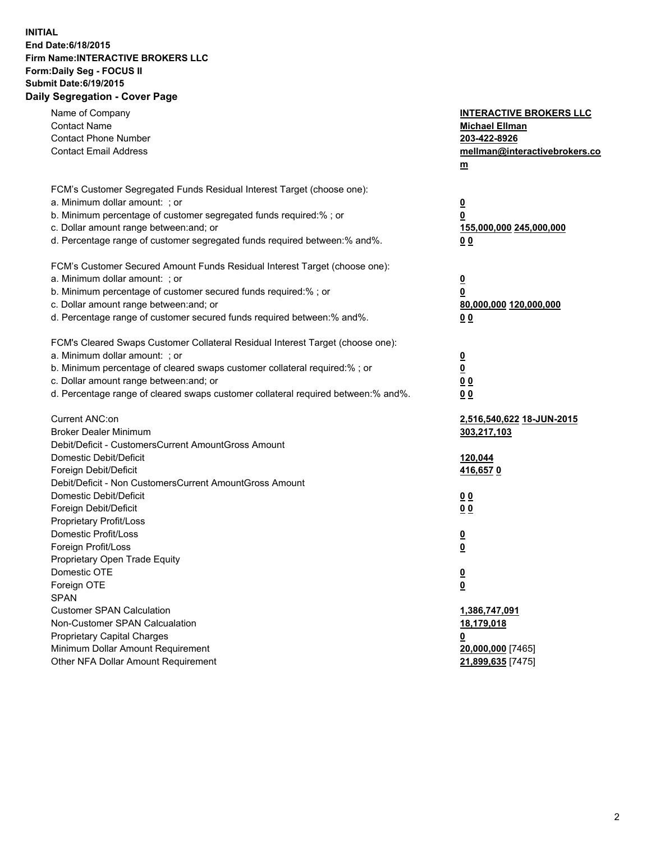## **INITIAL End Date:6/18/2015 Firm Name:INTERACTIVE BROKERS LLC Form:Daily Seg - FOCUS II Submit Date:6/19/2015 Daily Segregation - Cover Page**

| Name of Company<br><b>Contact Name</b><br><b>Contact Phone Number</b><br><b>Contact Email Address</b>                                                                                                                                                                                                                          | <b>INTERACTIVE BROKERS LLC</b><br><b>Michael Ellman</b><br>203-422-8926<br>mellman@interactivebrokers.co<br>$m$ |
|--------------------------------------------------------------------------------------------------------------------------------------------------------------------------------------------------------------------------------------------------------------------------------------------------------------------------------|-----------------------------------------------------------------------------------------------------------------|
| FCM's Customer Segregated Funds Residual Interest Target (choose one):<br>a. Minimum dollar amount: ; or<br>b. Minimum percentage of customer segregated funds required:% ; or<br>c. Dollar amount range between: and; or<br>d. Percentage range of customer segregated funds required between:% and%.                         | <u>0</u><br><u>0</u><br>155,000,000 245,000,000<br>0 <sub>0</sub>                                               |
| FCM's Customer Secured Amount Funds Residual Interest Target (choose one):<br>a. Minimum dollar amount: ; or<br>b. Minimum percentage of customer secured funds required:% ; or<br>c. Dollar amount range between: and; or<br>d. Percentage range of customer secured funds required between:% and%.                           | <u>0</u><br>0<br>80,000,000 120,000,000<br>0 <sub>0</sub>                                                       |
| FCM's Cleared Swaps Customer Collateral Residual Interest Target (choose one):<br>a. Minimum dollar amount: ; or<br>b. Minimum percentage of cleared swaps customer collateral required:% ; or<br>c. Dollar amount range between: and; or<br>d. Percentage range of cleared swaps customer collateral required between:% and%. | $\overline{\mathbf{0}}$<br>$\underline{\mathbf{0}}$<br>0 <sub>0</sub><br>0 <sub>0</sub>                         |
| Current ANC:on<br><b>Broker Dealer Minimum</b><br>Debit/Deficit - CustomersCurrent AmountGross Amount<br>Domestic Debit/Deficit<br>Foreign Debit/Deficit                                                                                                                                                                       | 2,516,540,622 18-JUN-2015<br>303,217,103<br>120,044<br>416,6570                                                 |
| Debit/Deficit - Non CustomersCurrent AmountGross Amount<br>Domestic Debit/Deficit<br>Foreign Debit/Deficit<br>Proprietary Profit/Loss<br>Domestic Profit/Loss<br>Foreign Profit/Loss                                                                                                                                           | 0 <sub>0</sub><br>0 <sub>0</sub><br><u>0</u><br><u>0</u>                                                        |
| Proprietary Open Trade Equity<br>Domestic OTE<br>Foreign OTE<br><b>SPAN</b><br><b>Customer SPAN Calculation</b>                                                                                                                                                                                                                | <u>0</u><br><u>0</u><br>1,386,747,091                                                                           |
| Non-Customer SPAN Calcualation<br><b>Proprietary Capital Charges</b><br>Minimum Dollar Amount Requirement<br>Other NFA Dollar Amount Requirement                                                                                                                                                                               | 18,179,018<br><u>0</u><br>20,000,000 [7465]<br>21,899,635 [7475]                                                |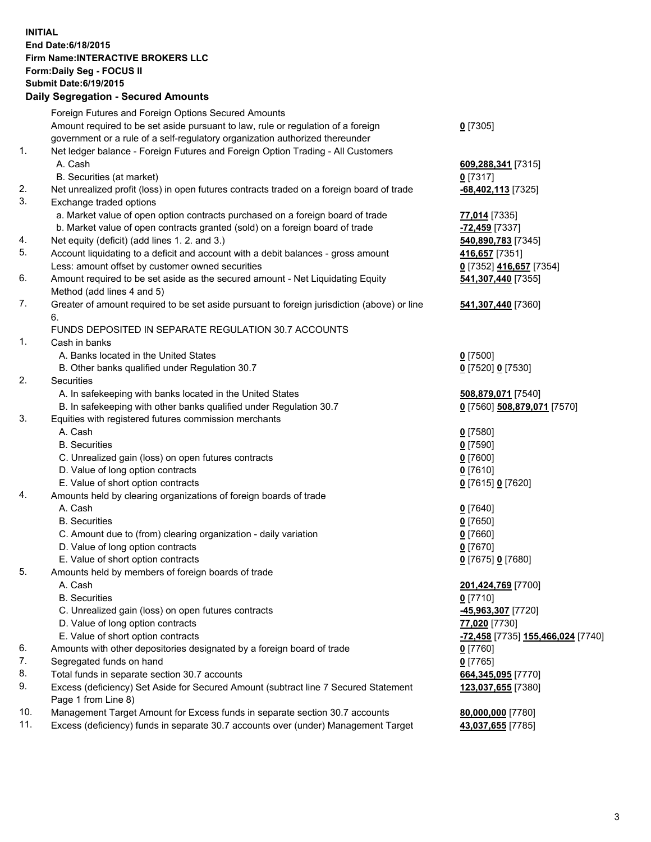## **INITIAL End Date:6/18/2015 Firm Name:INTERACTIVE BROKERS LLC Form:Daily Seg - FOCUS II Submit Date:6/19/2015 Daily Segregation - Secured Amounts**

|     | Dany Ocgregation - Oceanea Annoanta                                                         |                                                   |
|-----|---------------------------------------------------------------------------------------------|---------------------------------------------------|
|     | Foreign Futures and Foreign Options Secured Amounts                                         |                                                   |
|     | Amount required to be set aside pursuant to law, rule or regulation of a foreign            | $0$ [7305]                                        |
|     | government or a rule of a self-regulatory organization authorized thereunder                |                                                   |
| 1.  | Net ledger balance - Foreign Futures and Foreign Option Trading - All Customers             |                                                   |
|     | A. Cash                                                                                     | 609,288,341 [7315]                                |
|     | B. Securities (at market)                                                                   | $0$ [7317]                                        |
| 2.  | Net unrealized profit (loss) in open futures contracts traded on a foreign board of trade   | -68,402,113 [7325]                                |
| 3.  | Exchange traded options                                                                     |                                                   |
|     | a. Market value of open option contracts purchased on a foreign board of trade              | 77,014 [7335]                                     |
|     | b. Market value of open contracts granted (sold) on a foreign board of trade                |                                                   |
| 4.  | Net equity (deficit) (add lines 1.2. and 3.)                                                | <mark>-72,459</mark> [7337]<br>540,890,783 [7345] |
| 5.  |                                                                                             |                                                   |
|     | Account liquidating to a deficit and account with a debit balances - gross amount           | 416,657 [7351]                                    |
|     | Less: amount offset by customer owned securities                                            | 0 [7352] 416,657 [7354]                           |
| 6.  | Amount required to be set aside as the secured amount - Net Liquidating Equity              | 541,307,440 [7355]                                |
|     | Method (add lines 4 and 5)                                                                  |                                                   |
| 7.  | Greater of amount required to be set aside pursuant to foreign jurisdiction (above) or line | 541,307,440 [7360]                                |
|     | 6.                                                                                          |                                                   |
|     | FUNDS DEPOSITED IN SEPARATE REGULATION 30.7 ACCOUNTS                                        |                                                   |
| 1.  | Cash in banks                                                                               |                                                   |
|     | A. Banks located in the United States                                                       | $0$ [7500]                                        |
|     | B. Other banks qualified under Regulation 30.7                                              | 0 [7520] 0 [7530]                                 |
| 2.  | Securities                                                                                  |                                                   |
|     | A. In safekeeping with banks located in the United States                                   | 508,879,071 [7540]                                |
|     | B. In safekeeping with other banks qualified under Regulation 30.7                          | 0 [7560] 508,879,071 [7570]                       |
| 3.  | Equities with registered futures commission merchants                                       |                                                   |
|     | A. Cash                                                                                     | $0$ [7580]                                        |
|     | <b>B.</b> Securities                                                                        | $0$ [7590]                                        |
|     | C. Unrealized gain (loss) on open futures contracts                                         | $0$ [7600]                                        |
|     | D. Value of long option contracts                                                           | $0$ [7610]                                        |
|     | E. Value of short option contracts                                                          | 0 [7615] 0 [7620]                                 |
| 4.  | Amounts held by clearing organizations of foreign boards of trade                           |                                                   |
|     | A. Cash                                                                                     | $0$ [7640]                                        |
|     | <b>B.</b> Securities                                                                        | $0$ [7650]                                        |
|     | C. Amount due to (from) clearing organization - daily variation                             | $0$ [7660]                                        |
|     | D. Value of long option contracts                                                           | $0$ [7670]                                        |
|     | E. Value of short option contracts                                                          | 0 [7675] 0 [7680]                                 |
| 5.  | Amounts held by members of foreign boards of trade                                          |                                                   |
|     | A. Cash                                                                                     | 201,424,769 [7700]                                |
|     | <b>B.</b> Securities                                                                        | $0$ [7710]                                        |
|     | C. Unrealized gain (loss) on open futures contracts                                         | 45,963,307 [7720]                                 |
|     | D. Value of long option contracts                                                           | 77,020 [7730]                                     |
|     | E. Value of short option contracts                                                          | <mark>-72,458</mark> [7735] 155,466,024 [7740]    |
| 6.  | Amounts with other depositories designated by a foreign board of trade                      | 0 [7760]                                          |
| 7.  | Segregated funds on hand                                                                    | $0$ [7765]                                        |
| 8.  | Total funds in separate section 30.7 accounts                                               | 664,345,095 [7770]                                |
| 9.  | Excess (deficiency) Set Aside for Secured Amount (subtract line 7 Secured Statement         | 123,037,655 [7380]                                |
|     | Page 1 from Line 8)                                                                         |                                                   |
| 10. | Management Target Amount for Excess funds in separate section 30.7 accounts                 | 80,000,000 [7780]                                 |
| 11. | Excess (deficiency) funds in separate 30.7 accounts over (under) Management Target          | 43,037,655 [7785]                                 |
|     |                                                                                             |                                                   |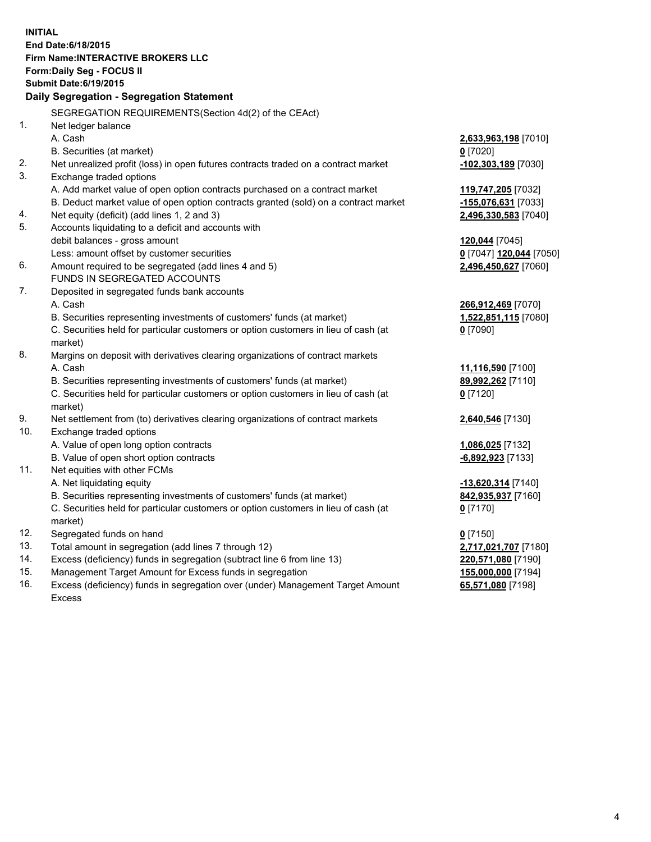**INITIAL End Date:6/18/2015 Firm Name:INTERACTIVE BROKERS LLC Form:Daily Seg - FOCUS II Submit Date:6/19/2015 Daily Segregation - Segregation Statement** SEGREGATION REQUIREMENTS(Section 4d(2) of the CEAct) 1. Net ledger balance A. Cash **2,633,963,198** [7010] B. Securities (at market) **0** [7020] 2. Net unrealized profit (loss) in open futures contracts traded on a contract market **-102,303,189** [7030] 3. Exchange traded options A. Add market value of open option contracts purchased on a contract market **119,747,205** [7032] B. Deduct market value of open option contracts granted (sold) on a contract market **-155,076,631** [7033] 4. Net equity (deficit) (add lines 1, 2 and 3) **2,496,330,583** [7040] 5. Accounts liquidating to a deficit and accounts with debit balances - gross amount **120,044** [7045] Less: amount offset by customer securities **0** [7047] **120,044** [7050] 6. Amount required to be segregated (add lines 4 and 5) **2,496,450,627** [7060] FUNDS IN SEGREGATED ACCOUNTS 7. Deposited in segregated funds bank accounts A. Cash **266,912,469** [7070] B. Securities representing investments of customers' funds (at market) **1,522,851,115** [7080] C. Securities held for particular customers or option customers in lieu of cash (at market) **0** [7090] 8. Margins on deposit with derivatives clearing organizations of contract markets A. Cash **11,116,590** [7100] B. Securities representing investments of customers' funds (at market) **89,992,262** [7110] C. Securities held for particular customers or option customers in lieu of cash (at market) **0** [7120] 9. Net settlement from (to) derivatives clearing organizations of contract markets **2,640,546** [7130] 10. Exchange traded options A. Value of open long option contracts **1,086,025** [7132] B. Value of open short option contracts **-6,892,923** [7133] 11. Net equities with other FCMs A. Net liquidating equity **-13,620,314** [7140] B. Securities representing investments of customers' funds (at market) **842,935,937** [7160] C. Securities held for particular customers or option customers in lieu of cash (at market) **0** [7170] 12. Segregated funds on hand **0** [7150] 13. Total amount in segregation (add lines 7 through 12) **2,717,021,707** [7180] 14. Excess (deficiency) funds in segregation (subtract line 6 from line 13) **220,571,080** [7190] 15. Management Target Amount for Excess funds in segregation **155,000,000** [7194]

16. Excess (deficiency) funds in segregation over (under) Management Target Amount Excess

**65,571,080** [7198]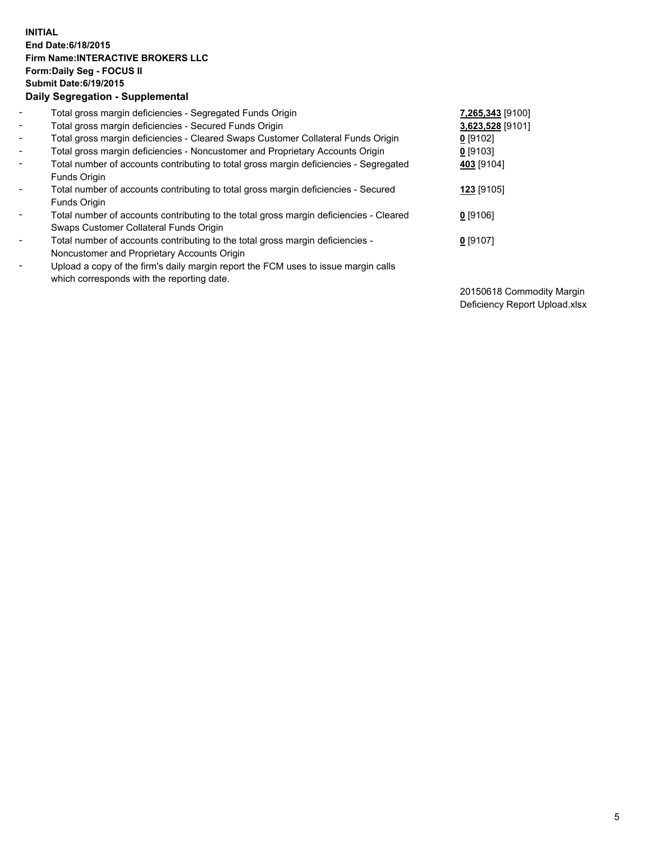## **INITIAL End Date:6/18/2015 Firm Name:INTERACTIVE BROKERS LLC Form:Daily Seg - FOCUS II Submit Date:6/19/2015 Daily Segregation - Supplemental**

| $\blacksquare$ | Total gross margin deficiencies - Segregated Funds Origin                                                                        | 7,265,343 [9100] |
|----------------|----------------------------------------------------------------------------------------------------------------------------------|------------------|
| $\blacksquare$ | Total gross margin deficiencies - Secured Funds Origin                                                                           | 3,623,528 [9101] |
| $\blacksquare$ | Total gross margin deficiencies - Cleared Swaps Customer Collateral Funds Origin                                                 | $0$ [9102]       |
| $\blacksquare$ | Total gross margin deficiencies - Noncustomer and Proprietary Accounts Origin                                                    | $0$ [9103]       |
| $\blacksquare$ | Total number of accounts contributing to total gross margin deficiencies - Segregated<br>Funds Origin                            | 403 [9104]       |
| $\blacksquare$ | Total number of accounts contributing to total gross margin deficiencies - Secured<br>Funds Origin                               | 123 [9105]       |
| $\blacksquare$ | Total number of accounts contributing to the total gross margin deficiencies - Cleared<br>Swaps Customer Collateral Funds Origin | $0$ [9106]       |
| ۰              | Total number of accounts contributing to the total gross margin deficiencies -<br>Noncustomer and Proprietary Accounts Origin    | $0$ [9107]       |
| $\blacksquare$ | Upload a copy of the firm's daily margin report the FCM uses to issue margin calls<br>which corresponds with the reporting date. |                  |

20150618 Commodity Margin Deficiency Report Upload.xlsx